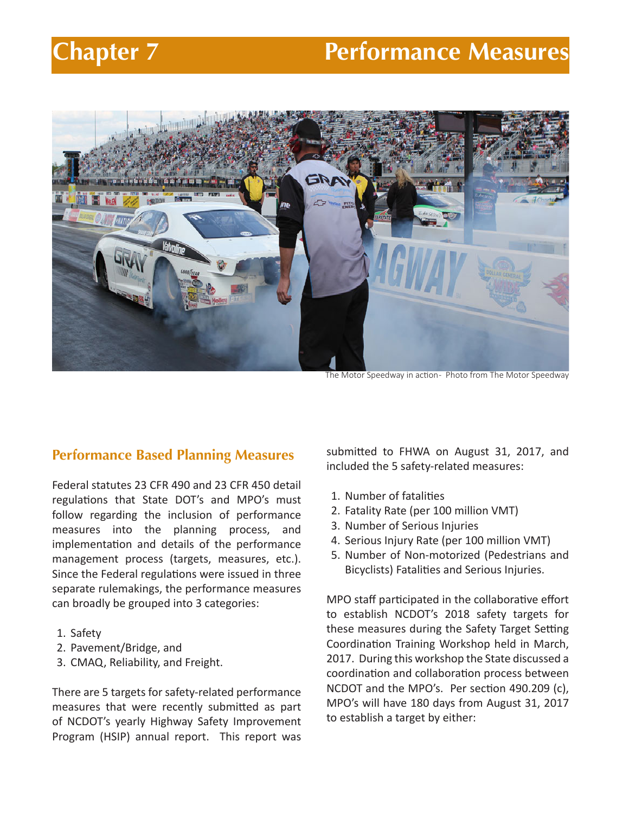# **Chapter 7 Performance Measures**



The Motor Speedway in action- Photo from The Motor Speedway

# **Performance Based Planning Measures**

Federal statutes 23 CFR 490 and 23 CFR 450 detail regulations that State DOT's and MPO's must follow regarding the inclusion of performance measures into the planning process, and implementation and details of the performance management process (targets, measures, etc.). Since the Federal regulations were issued in three separate rulemakings, the performance measures can broadly be grouped into 3 categories:

- 1. Safety
- 2. Pavement/Bridge, and
- 3. CMAQ, Reliability, and Freight.

There are 5 targets for safety-related performance measures that were recently submitted as part of NCDOT's yearly Highway Safety Improvement Program (HSIP) annual report. This report was submitted to FHWA on August 31, 2017, and included the 5 safety-related measures:

- 1. Number of fatalities
- 2. Fatality Rate (per 100 million VMT)
- 3. Number of Serious Injuries
- 4. Serious Injury Rate (per 100 million VMT)
- 5. Number of Non-motorized (Pedestrians and Bicyclists) Fatalities and Serious Injuries.

MPO staff participated in the collaborative effort to establish NCDOT's 2018 safety targets for these measures during the Safety Target Setting Coordination Training Workshop held in March, 2017. During this workshop the State discussed a coordination and collaboration process between NCDOT and the MPO's. Per section 490.209 (c), MPO's will have 180 days from August 31, 2017 to establish a target by either: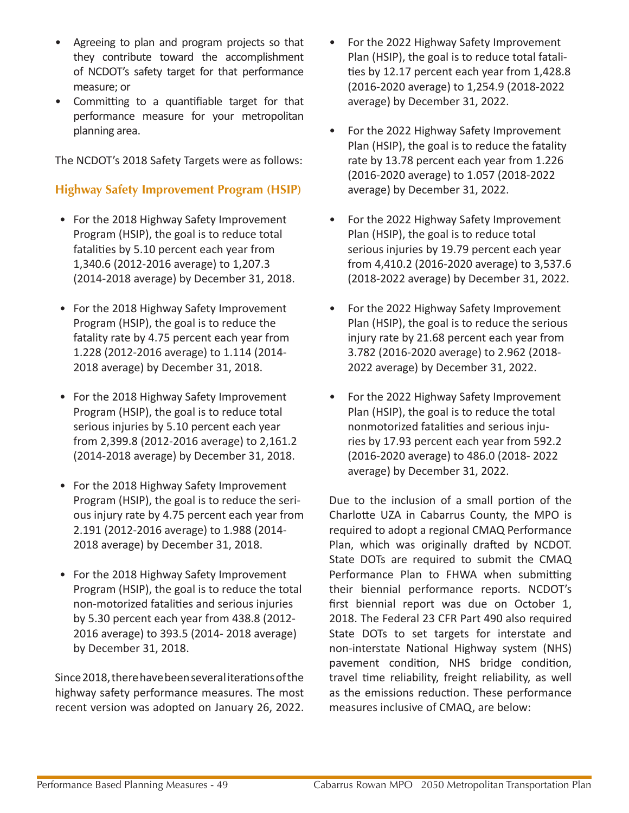- Agreeing to plan and program projects so that they contribute toward the accomplishment of NCDOT's safety target for that performance measure; or
- Committing to a quantifiable target for that performance measure for your metropolitan planning area.

The NCDOT's 2018 Safety Targets were as follows:

# **Highway Safety Improvement Program (HSIP)**

- For the 2018 Highway Safety Improvement Program (HSIP), the goal is to reduce total fatalities by 5.10 percent each year from 1,340.6 (2012-2016 average) to 1,207.3 (2014-2018 average) by December 31, 2018.
- For the 2018 Highway Safety Improvement Program (HSIP), the goal is to reduce the fatality rate by 4.75 percent each year from 1.228 (2012-2016 average) to 1.114 (2014- 2018 average) by December 31, 2018.
- For the 2018 Highway Safety Improvement Program (HSIP), the goal is to reduce total serious injuries by 5.10 percent each year from 2,399.8 (2012-2016 average) to 2,161.2 (2014-2018 average) by December 31, 2018.
- For the 2018 Highway Safety Improvement Program (HSIP), the goal is to reduce the serious injury rate by 4.75 percent each year from 2.191 (2012-2016 average) to 1.988 (2014- 2018 average) by December 31, 2018.
- For the 2018 Highway Safety Improvement Program (HSIP), the goal is to reduce the total non-motorized fatalities and serious injuries by 5.30 percent each year from 438.8 (2012- 2016 average) to 393.5 (2014- 2018 average) by December 31, 2018.

Since 2018, there have been several iterations of the highway safety performance measures. The most recent version was adopted on January 26, 2022.

- For the 2022 Highway Safety Improvement Plan (HSIP), the goal is to reduce total fatalities by 12.17 percent each year from 1,428.8 (2016-2020 average) to 1,254.9 (2018-2022 average) by December 31, 2022.
- For the 2022 Highway Safety Improvement Plan (HSIP), the goal is to reduce the fatality rate by 13.78 percent each year from 1.226 (2016-2020 average) to 1.057 (2018-2022 average) by December 31, 2022.
- For the 2022 Highway Safety Improvement Plan (HSIP), the goal is to reduce total serious injuries by 19.79 percent each year from 4,410.2 (2016-2020 average) to 3,537.6 (2018-2022 average) by December 31, 2022.
- For the 2022 Highway Safety Improvement Plan (HSIP), the goal is to reduce the serious injury rate by 21.68 percent each year from 3.782 (2016-2020 average) to 2.962 (2018- 2022 average) by December 31, 2022.
- For the 2022 Highway Safety Improvement Plan (HSIP), the goal is to reduce the total nonmotorized fatalities and serious injuries by 17.93 percent each year from 592.2 (2016-2020 average) to 486.0 (2018- 2022 average) by December 31, 2022.

Due to the inclusion of a small portion of the Charlotte UZA in Cabarrus County, the MPO is required to adopt a regional CMAQ Performance Plan, which was originally drafted by NCDOT. State DOTs are required to submit the CMAQ Performance Plan to FHWA when submitting their biennial performance reports. NCDOT's first biennial report was due on October 1, 2018. The Federal 23 CFR Part 490 also required State DOTs to set targets for interstate and non-interstate National Highway system (NHS) pavement condition, NHS bridge condition, travel time reliability, freight reliability, as well as the emissions reduction. These performance measures inclusive of CMAQ, are below: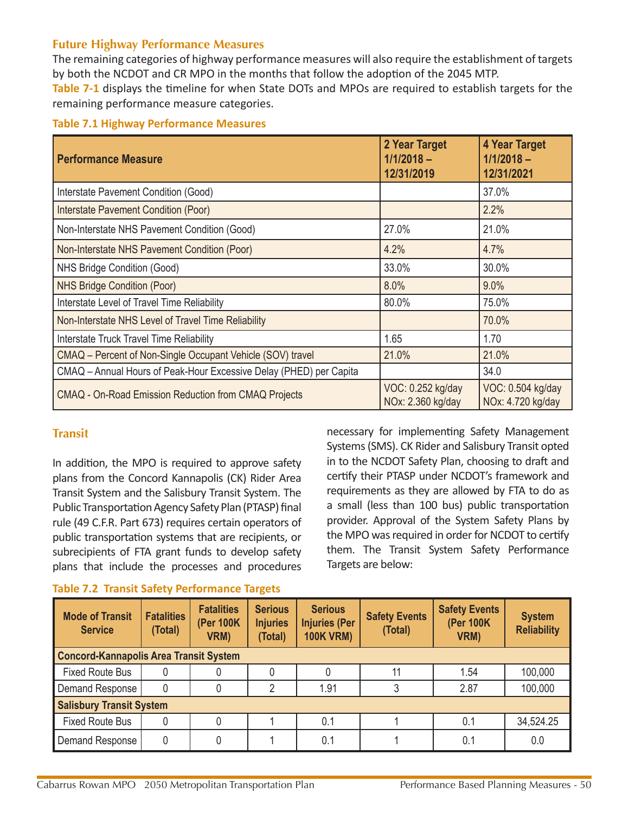### **Future Highway Performance Measures**

The remaining categories of highway performance measures will also require the establishment of targets by both the NCDOT and CR MPO in the months that follow the adoption of the 2045 MTP. **Table 7-1** displays the timeline for when State DOTs and MPOs are required to establish targets for the remaining performance measure categories.

#### **Table 7.1 Highway Performance Measures**

| <b>Performance Measure</b>                                         | 2 Year Target<br>$1/1/2018 -$<br>12/31/2019 | <b>4 Year Target</b><br>$1/1/2018 -$<br>12/31/2021 |
|--------------------------------------------------------------------|---------------------------------------------|----------------------------------------------------|
| Interstate Pavement Condition (Good)                               |                                             | 37.0%                                              |
| Interstate Pavement Condition (Poor)                               |                                             | 2.2%                                               |
| Non-Interstate NHS Pavement Condition (Good)                       | 27.0%                                       | 21.0%                                              |
| Non-Interstate NHS Pavement Condition (Poor)                       | 4.2%                                        | 4.7%                                               |
| NHS Bridge Condition (Good)                                        | 33.0%                                       | 30.0%                                              |
| <b>NHS Bridge Condition (Poor)</b>                                 | 8.0%                                        | 9.0%                                               |
| Interstate Level of Travel Time Reliability                        | 80.0%                                       | 75.0%                                              |
| Non-Interstate NHS Level of Travel Time Reliability                |                                             | 70.0%                                              |
| <b>Interstate Truck Travel Time Reliability</b>                    | 1.65                                        | 1.70                                               |
| CMAQ - Percent of Non-Single Occupant Vehicle (SOV) travel         | 21.0%                                       | 21.0%                                              |
| CMAQ - Annual Hours of Peak-Hour Excessive Delay (PHED) per Capita |                                             | 34.0                                               |
| <b>CMAQ - On-Road Emission Reduction from CMAQ Projects</b>        | VOC: 0.252 kg/day<br>NOx: 2.360 kg/day      | VOC: 0.504 kg/day<br>NOx: 4.720 kg/day             |

#### **Transit**

In addition, the MPO is required to approve safety plans from the Concord Kannapolis (CK) Rider Area Transit System and the Salisbury Transit System. The Public Transportation Agency Safety Plan (PTASP) final rule (49 C.F.R. Part 673) requires certain operators of public transportation systems that are recipients, or subrecipients of FTA grant funds to develop safety plans that include the processes and procedures

#### **Table 7.2 Transit Safety Performance Targets**

necessary for implementing Safety Management Systems (SMS). CK Rider and Salisbury Transit opted in to the NCDOT Safety Plan, choosing to draft and certify their PTASP under NCDOT's framework and requirements as they are allowed by FTA to do as a small (less than 100 bus) public transportation provider. Approval of the System Safety Plans by the MPO was required in order for NCDOT to certify them. The Transit System Safety Performance Targets are below:

| <b>Mode of Transit</b><br><b>Service</b>      | <b>Fatalities</b><br>(Total) | <b>Fatalities</b><br>(Per 100K)<br>VRM) | <b>Serious</b><br><b>Injuries</b><br>(Total) | <b>Serious</b><br><b>Injuries (Per</b><br><b>100K VRM)</b> | <b>Safety Events</b><br>(Total) | <b>Safety Events</b><br>(Per 100K)<br>VRM) | <b>System</b><br><b>Reliability</b> |
|-----------------------------------------------|------------------------------|-----------------------------------------|----------------------------------------------|------------------------------------------------------------|---------------------------------|--------------------------------------------|-------------------------------------|
| <b>Concord-Kannapolis Area Transit System</b> |                              |                                         |                                              |                                                            |                                 |                                            |                                     |
| <b>Fixed Route Bus</b>                        |                              |                                         |                                              |                                                            |                                 | 1.54                                       | 100,000                             |
| Demand Response                               | 0                            |                                         |                                              | 1.91                                                       |                                 | 2.87                                       | 100,000                             |
| <b>Salisbury Transit System</b>               |                              |                                         |                                              |                                                            |                                 |                                            |                                     |
| <b>Fixed Route Bus</b>                        |                              |                                         |                                              | 0.1                                                        |                                 | 0.1                                        | 34,524.25                           |
| Demand Response                               | 0                            |                                         |                                              | 0.1                                                        |                                 | 0.1                                        | 0.0                                 |